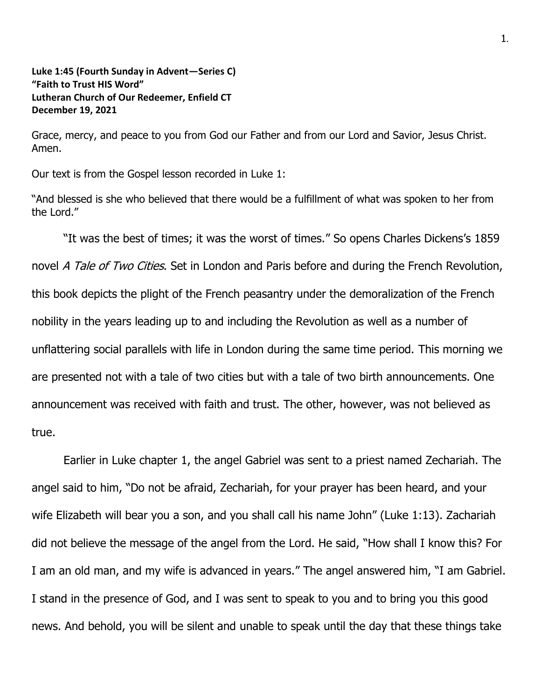**Luke 1:45 (Fourth Sunday in Advent—Series C) "Faith to Trust HIS Word" Lutheran Church of Our Redeemer, Enfield CT December 19, 2021**

Grace, mercy, and peace to you from God our Father and from our Lord and Savior, Jesus Christ. Amen.

Our text is from the Gospel lesson recorded in Luke 1:

"And blessed is she who believed that there would be a fulfillment of what was spoken to her from the Lord."

"It was the best of times; it was the worst of times." So opens Charles Dickens's 1859 novel A Tale of Two Cities. Set in London and Paris before and during the French Revolution, this book depicts the plight of the French peasantry under the demoralization of the French nobility in the years leading up to and including the Revolution as well as a number of unflattering social parallels with life in London during the same time period. This morning we are presented not with a tale of two cities but with a tale of two birth announcements. One announcement was received with faith and trust. The other, however, was not believed as true.

Earlier in Luke chapter 1, the angel Gabriel was sent to a priest named Zechariah. The angel said to him, "Do not be afraid, Zechariah, for your prayer has been heard, and your wife Elizabeth will bear you a son, and you shall call his name John" (Luke 1:13). Zachariah did not believe the message of the angel from the Lord. He said, "How shall I know this? For I am an old man, and my wife is advanced in years." The angel answered him, "I am Gabriel. I stand in the presence of God, and I was sent to speak to you and to bring you this good news. And behold, you will be silent and unable to speak until the day that these things take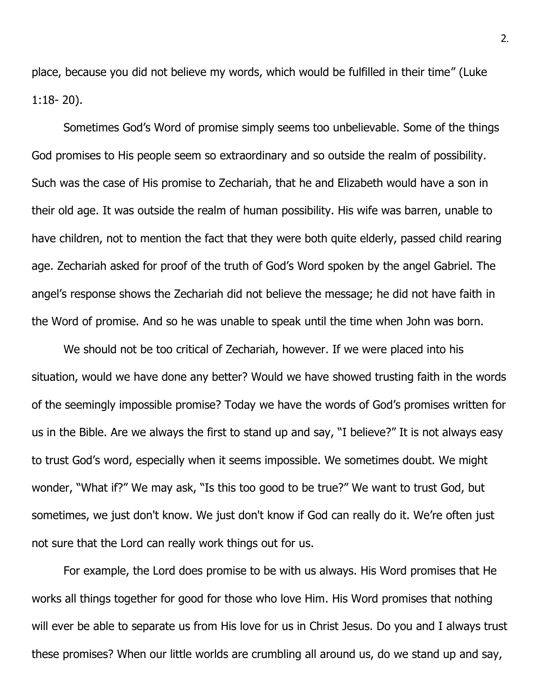place, because you did not believe my words, which would be fulfilled in their time" (Luke 1:18- 20).

Sometimes God's Word of promise simply seems too unbelievable. Some of the things God promises to His people seem so extraordinary and so outside the realm of possibility. Such was the case of His promise to Zechariah, that he and Elizabeth would have a son in their old age. It was outside the realm of human possibility. His wife was barren, unable to have children, not to mention the fact that they were both quite elderly, passed child rearing age. Zechariah asked for proof of the truth of God's Word spoken by the angel Gabriel. The angel's response shows the Zechariah did not believe the message; he did not have faith in the Word of promise. And so he was unable to speak until the time when John was born.

We should not be too critical of Zechariah, however. If we were placed into his situation, would we have done any better? Would we have showed trusting faith in the words of the seemingly impossible promise? Today we have the words of God's promises written for us in the Bible. Are we always the first to stand up and say, "I believe?" It is not always easy to trust God's word, especially when it seems impossible. We sometimes doubt. We might wonder, "What if?" We may ask, "Is this too good to be true?" We want to trust God, but sometimes, we just don't know. We just don't know if God can really do it. We're often just not sure that the Lord can really work things out for us.

For example, the Lord does promise to be with us always. His Word promises that He works all things together for good for those who love Him. His Word promises that nothing will ever be able to separate us from His love for us in Christ Jesus. Do you and I always trust these promises? When our little worlds are crumbling all around us, do we stand up and say,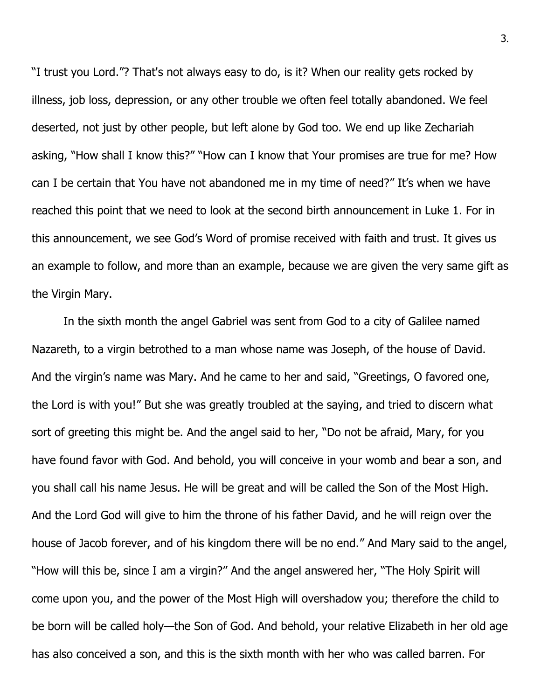"I trust you Lord."? That's not always easy to do, is it? When our reality gets rocked by illness, job loss, depression, or any other trouble we often feel totally abandoned. We feel deserted, not just by other people, but left alone by God too. We end up like Zechariah asking, "How shall I know this?" "How can I know that Your promises are true for me? How can I be certain that You have not abandoned me in my time of need?" It's when we have reached this point that we need to look at the second birth announcement in Luke 1. For in this announcement, we see God's Word of promise received with faith and trust. It gives us an example to follow, and more than an example, because we are given the very same gift as the Virgin Mary.

In the sixth month the angel Gabriel was sent from God to a city of Galilee named Nazareth, to a virgin betrothed to a man whose name was Joseph, of the house of David. And the virgin's name was Mary. And he came to her and said, "Greetings, O favored one, the Lord is with you!" But she was greatly troubled at the saying, and tried to discern what sort of greeting this might be. And the angel said to her, "Do not be afraid, Mary, for you have found favor with God. And behold, you will conceive in your womb and bear a son, and you shall call his name Jesus. He will be great and will be called the Son of the Most High. And the Lord God will give to him the throne of his father David, and he will reign over the house of Jacob forever, and of his kingdom there will be no end." And Mary said to the angel, "How will this be, since I am a virgin?" And the angel answered her, "The Holy Spirit will come upon you, and the power of the Most High will overshadow you; therefore the child to be born will be called holy—the Son of God. And behold, your relative Elizabeth in her old age has also conceived a son, and this is the sixth month with her who was called barren. For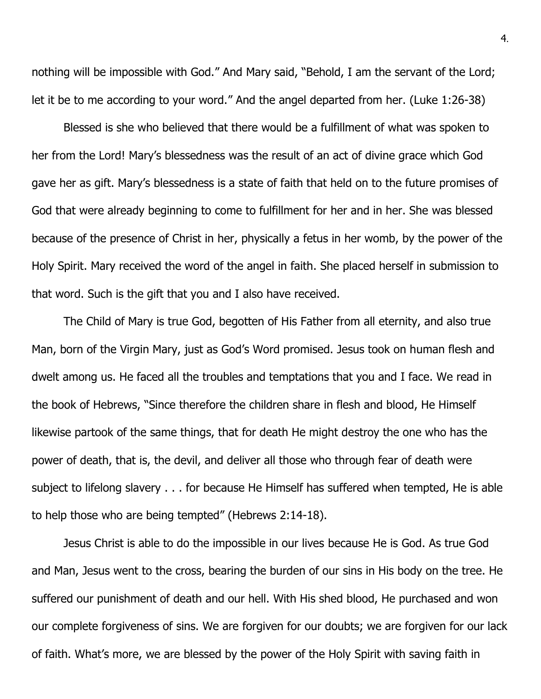nothing will be impossible with God." And Mary said, "Behold, I am the servant of the Lord; let it be to me according to your word." And the angel departed from her. (Luke 1:26-38)

Blessed is she who believed that there would be a fulfillment of what was spoken to her from the Lord! Mary's blessedness was the result of an act of divine grace which God gave her as gift. Mary's blessedness is a state of faith that held on to the future promises of God that were already beginning to come to fulfillment for her and in her. She was blessed because of the presence of Christ in her, physically a fetus in her womb, by the power of the Holy Spirit. Mary received the word of the angel in faith. She placed herself in submission to that word. Such is the gift that you and I also have received.

The Child of Mary is true God, begotten of His Father from all eternity, and also true Man, born of the Virgin Mary, just as God's Word promised. Jesus took on human flesh and dwelt among us. He faced all the troubles and temptations that you and I face. We read in the book of Hebrews, "Since therefore the children share in flesh and blood, He Himself likewise partook of the same things, that for death He might destroy the one who has the power of death, that is, the devil, and deliver all those who through fear of death were subject to lifelong slavery . . . for because He Himself has suffered when tempted, He is able to help those who are being tempted" (Hebrews 2:14-18).

Jesus Christ is able to do the impossible in our lives because He is God. As true God and Man, Jesus went to the cross, bearing the burden of our sins in His body on the tree. He suffered our punishment of death and our hell. With His shed blood, He purchased and won our complete forgiveness of sins. We are forgiven for our doubts; we are forgiven for our lack of faith. What's more, we are blessed by the power of the Holy Spirit with saving faith in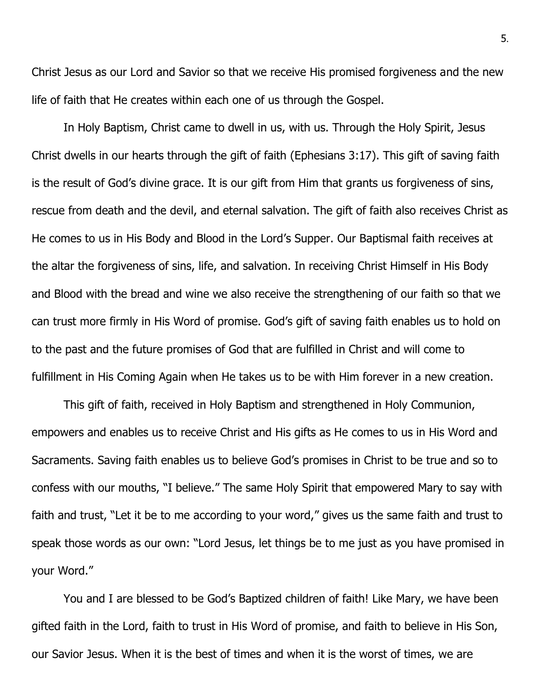Christ Jesus as our Lord and Savior so that we receive His promised forgiveness and the new life of faith that He creates within each one of us through the Gospel.

In Holy Baptism, Christ came to dwell in us, with us. Through the Holy Spirit, Jesus Christ dwells in our hearts through the gift of faith (Ephesians 3:17). This gift of saving faith is the result of God's divine grace. It is our gift from Him that grants us forgiveness of sins, rescue from death and the devil, and eternal salvation. The gift of faith also receives Christ as He comes to us in His Body and Blood in the Lord's Supper. Our Baptismal faith receives at the altar the forgiveness of sins, life, and salvation. In receiving Christ Himself in His Body and Blood with the bread and wine we also receive the strengthening of our faith so that we can trust more firmly in His Word of promise. God's gift of saving faith enables us to hold on to the past and the future promises of God that are fulfilled in Christ and will come to fulfillment in His Coming Again when He takes us to be with Him forever in a new creation.

This gift of faith, received in Holy Baptism and strengthened in Holy Communion, empowers and enables us to receive Christ and His gifts as He comes to us in His Word and Sacraments. Saving faith enables us to believe God's promises in Christ to be true and so to confess with our mouths, "I believe." The same Holy Spirit that empowered Mary to say with faith and trust, "Let it be to me according to your word," gives us the same faith and trust to speak those words as our own: "Lord Jesus, let things be to me just as you have promised in your Word."

You and I are blessed to be God's Baptized children of faith! Like Mary, we have been gifted faith in the Lord, faith to trust in His Word of promise, and faith to believe in His Son, our Savior Jesus. When it is the best of times and when it is the worst of times, we are